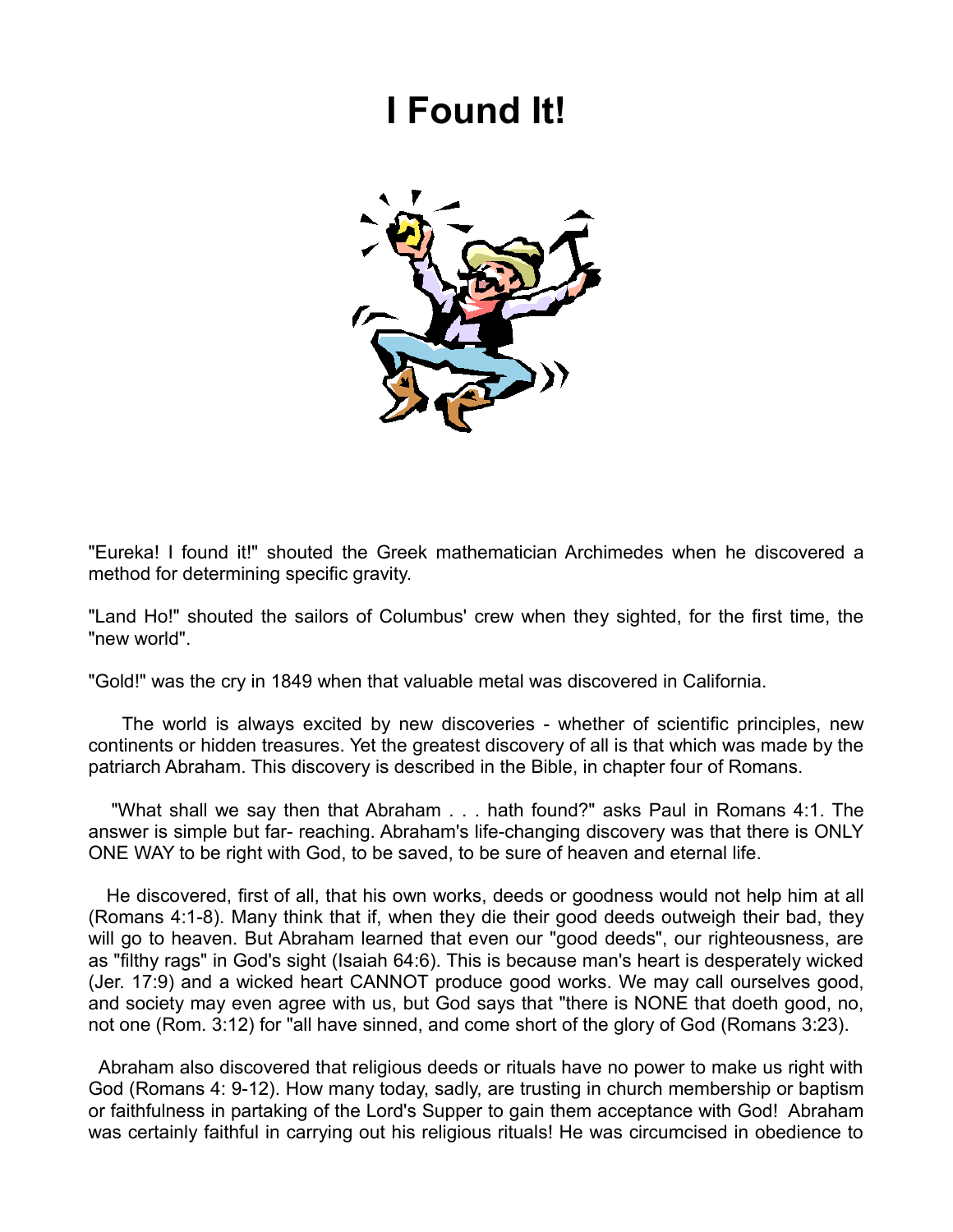## **I Found It!**



"Eureka! I found it!" shouted the Greek mathematician Archimedes when he discovered a method for determining specific gravity.

"Land Ho!" shouted the sailors of Columbus' crew when they sighted, for the first time, the "new world".

"Gold!" was the cry in 1849 when that valuable metal was discovered in California.

 The world is always excited by new discoveries - whether of scientific principles, new continents or hidden treasures. Yet the greatest discovery of all is that which was made by the patriarch Abraham. This discovery is described in the Bible, in chapter four of Romans.

 "What shall we say then that Abraham . . . hath found?" asks Paul in Romans 4:1. The answer is simple but far- reaching. Abraham's life-changing discovery was that there is ONLY ONE WAY to be right with God, to be saved, to be sure of heaven and eternal life.

 He discovered, first of all, that his own works, deeds or goodness would not help him at all (Romans 4:1-8). Many think that if, when they die their good deeds outweigh their bad, they will go to heaven. But Abraham learned that even our "good deeds", our righteousness, are as "filthy rags" in God's sight (Isaiah 64:6). This is because man's heart is desperately wicked (Jer. 17:9) and a wicked heart CANNOT produce good works. We may call ourselves good, and society may even agree with us, but God says that "there is NONE that doeth good, no, not one (Rom. 3:12) for "all have sinned, and come short of the glory of God (Romans 3:23).

 Abraham also discovered that religious deeds or rituals have no power to make us right with God (Romans 4: 9-12). How many today, sadly, are trusting in church membership or baptism or faithfulness in partaking of the Lord's Supper to gain them acceptance with God! Abraham was certainly faithful in carrying out his religious rituals! He was circumcised in obedience to